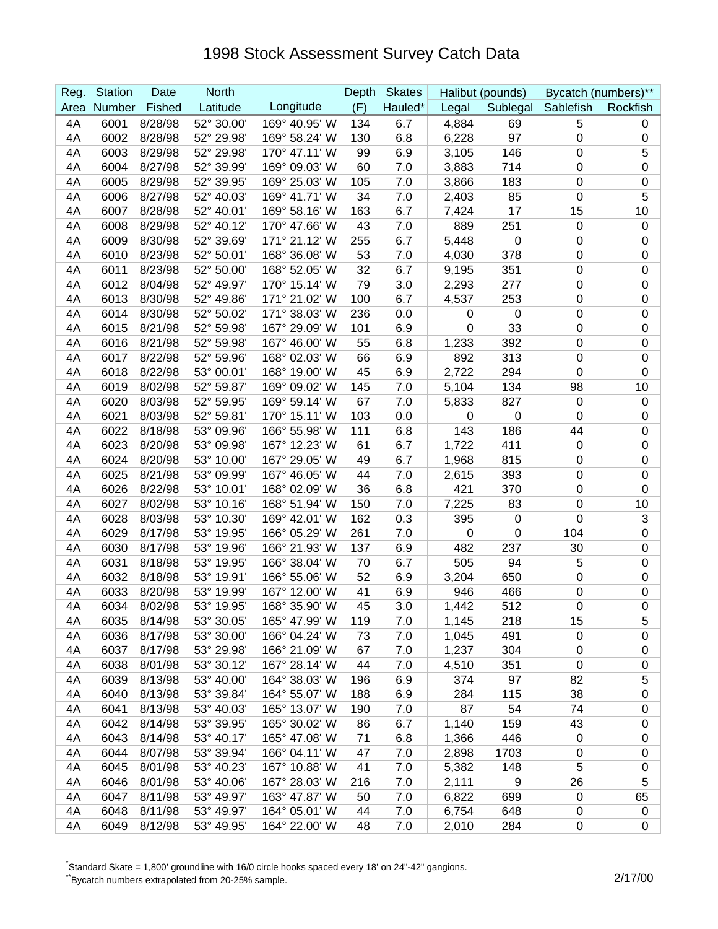## 1998 Stock Assessment Survey Catch Data

| Reg.     | <b>Station</b> | Date               | <b>North</b>             |                                | Depth    | <b>Skates</b> |                | Halibut (pounds) |                    | Bycatch (numbers)** |
|----------|----------------|--------------------|--------------------------|--------------------------------|----------|---------------|----------------|------------------|--------------------|---------------------|
| Area     | Number         | Fished             | Latitude                 | Longitude                      | (F)      | Hauled*       | Legal          |                  | Sublegal Sablefish | Rockfish            |
| 4A       | 6001           | 8/28/98            | 52° 30.00'               | 169° 40.95' W                  | 134      | 6.7           | 4,884          | 69               | 5                  | 0                   |
| 4A       | 6002           | 8/28/98            | 52° 29.98'               | 169° 58.24' W                  | 130      | 6.8           | 6,228          | 97               | 0                  | 0                   |
| 4A       | 6003           | 8/29/98            | 52° 29.98'               | 170° 47.11' W                  | 99       | 6.9           | 3,105          | 146              | 0                  | 5                   |
| 4A       | 6004           | 8/27/98            | 52° 39.99'               | 169° 09.03' W                  | 60       | 7.0           | 3,883          | 714              | 0                  | $\pmb{0}$           |
| 4A       | 6005           | 8/29/98            | 52° 39.95'               | 169° 25.03' W                  | 105      | 7.0           | 3,866          | 183              | 0                  | 0                   |
| 4A       | 6006           | 8/27/98            | 52° 40.03'               | 169° 41.71' W                  | 34       | 7.0           | 2,403          | 85               | 0                  | $\overline{5}$      |
| 4A       | 6007           | 8/28/98            | 52° 40.01'               | 169° 58.16' W                  | 163      | 6.7           | 7,424          | 17               | 15                 | 10                  |
| 4A       | 6008           | 8/29/98            | 52° 40.12'               | 170° 47.66' W                  | 43       | 7.0           | 889            | 251              | $\mathbf 0$        | $\pmb{0}$           |
| 4A       | 6009           | 8/30/98            | 52° 39.69'               | 171° 21.12' W                  | 255      | 6.7           | 5,448          | 0                | $\mathbf 0$        | 0                   |
| 4A       | 6010           | 8/23/98            | 52° 50.01'               | 168° 36.08' W                  | 53       | 7.0           | 4,030          | 378              | $\pmb{0}$          | 0                   |
| 4A       | 6011           | 8/23/98            | 52° 50.00'               | 168° 52.05' W                  | 32       | 6.7           | 9,195          | 351              | 0                  | $\pmb{0}$           |
| 4A       | 6012           | 8/04/98            | 52° 49.97'               | 170° 15.14' W                  | 79       | 3.0           | 2,293          | 277              | 0                  | 0                   |
| 4A       | 6013           | 8/30/98            | 52° 49.86'               | 171° 21.02' W                  | 100      | 6.7           | 4,537          | 253              | 0                  | 0                   |
| 4A       | 6014           | 8/30/98            | 52° 50.02'               | 171° 38.03' W                  | 236      | 0.0           | 0              | $\mathbf 0$      | 0                  | 0                   |
| 4A       | 6015           | 8/21/98            | 52° 59.98'               | 167° 29.09' W                  | 101      | 6.9           | 0              | 33               | 0                  | $\pmb{0}$           |
| 4A       | 6016           | 8/21/98            | 52° 59.98'               | 167° 46.00' W                  | 55       | 6.8           | 1,233          | 392              | 0                  | $\pmb{0}$           |
| 4A       | 6017           | 8/22/98            | 52° 59.96'               | 168° 02.03' W                  | 66       | 6.9           | 892            | 313              | 0                  | $\pmb{0}$           |
| 4A       | 6018           | 8/22/98            | 53° 00.01'               | 168° 19.00' W                  | 45       | 6.9           | 2,722          | 294              | $\mathbf 0$        | $\pmb{0}$           |
| 4A       | 6019           | 8/02/98            | 52° 59.87'               | 169° 09.02' W                  | 145      | 7.0           | 5,104          | 134              | 98                 | 10                  |
| 4A       | 6020           | 8/03/98            | 52° 59.95'               | 169° 59.14' W                  | 67       | 7.0           | 5,833          | 827              | $\mathbf 0$        | $\pmb{0}$           |
| 4A       | 6021           | 8/03/98            | 52° 59.81'               | 170° 15.11' W                  | 103      | 0.0           | 0              | 0                | 0                  | 0                   |
| 4A       | 6022           | 8/18/98            | 53° 09.96'               | 166° 55.98' W                  | 111      | 6.8           | 143            | 186              | 44                 | 0                   |
| 4A       | 6023           | 8/20/98            | 53° 09.98'               | 167° 12.23' W                  | 61       | 6.7           | 1,722          | 411              | $\mathbf 0$        | 0                   |
| 4A       | 6024           | 8/20/98            | 53° 10.00'               | 167° 29.05' W                  | 49       | 6.7           | 1,968          | 815              | $\boldsymbol{0}$   | $\pmb{0}$           |
| 4A       | 6025           | 8/21/98            | 53° 09.99'               | 167° 46.05' W                  | 44       | 7.0           | 2,615          | 393              | $\boldsymbol{0}$   | 0                   |
| 4A       | 6026           | 8/22/98            | 53° 10.01'               | 168° 02.09' W                  | 36       | 6.8           | 421            | 370              | 0                  | 0                   |
| 4A       | 6027           | 8/02/98            | 53° 10.16'               | 168° 51.94' W                  | 150      | 7.0           | 7,225          | 83               | 0                  | 10                  |
| 4A       | 6028           | 8/03/98            | 53° 10.30'               | 169° 42.01' W                  | 162      | 0.3           | 395            | $\mathbf 0$      | $\mathbf 0$        | 3                   |
| 4A       | 6029           | 8/17/98            | 53° 19.95'               | 166° 05.29' W                  | 261      | 7.0           | $\pmb{0}$      | $\mathbf 0$      | 104                | $\pmb{0}$           |
| 4A       | 6030           | 8/17/98            | 53° 19.96'               | 166° 21.93' W                  | 137      | 6.9           | 482            | 237              | 30                 | 0                   |
| 4A       | 6031           | 8/18/98            | 53° 19.95'               | 166° 38.04' W                  | 70       | 6.7           | 505            | 94               | 5                  | $\pmb{0}$           |
| 4A       | 6032           | 8/18/98            | 53° 19.91'               | 166° 55.06' W                  | 52       | 6.9           | 3,204          | 650              | 0                  | 0                   |
| 4A       | 6033           | 8/20/98            | 53° 19.99'               | 167° 12.00' W                  | 41       | 6.9           | 946            | 466              | 0                  | $\pmb{0}$           |
| 4A       | 6034           | 8/02/98            | 53° 19.95'               | 168° 35.90' W                  | 45       | 3.0           | 1,442          | 512              | $\overline{0}$     | $\mathbf 0$         |
| 4Α       | 6035           | 8/14/98            | 53° 30.05'               | 165° 47.99' W                  | 119      | 7.0           | 1,145          | 218              | 15                 | 5                   |
| 4A       | 6036           | 8/17/98            | 53° 30.00'               | 166° 04.24' W                  | 73       | 7.0           | 1,045          | 491              | $\mathbf 0$        | 0                   |
| 4A       | 6037           | 8/17/98            | 53° 29.98'               | 166° 21.09' W                  | 67       | 7.0           | 1,237          | 304              | $\mathbf 0$        | 0                   |
| 4A       | 6038           | 8/01/98            | 53° 30.12'               | 167° 28.14' W                  | 44       | 7.0           | 4,510          | 351              | $\mathbf 0$        | 0                   |
| 4A       | 6039           | 8/13/98            | 53° 40.00'               | 164° 38.03' W                  | 196      | 6.9           | 374            | 97               | 82                 | 5                   |
| 4A       | 6040           | 8/13/98            | 53° 39.84'<br>53° 40.03' | 164° 55.07' W                  | 188      | 6.9           | 284            | 115              | 38                 | $\pmb{0}$           |
| 4A       | 6041           | 8/13/98            |                          | 165° 13.07' W                  | 190      | 7.0           | 87             | 54               | 74                 | 0                   |
| 4A       | 6042           | 8/14/98            | 53° 39.95'               | 165° 30.02' W                  | 86       | 6.7           | 1,140          | 159              | 43                 | 0                   |
| 4A       | 6043           | 8/14/98            | 53° 40.17'               | 165° 47.08' W                  | 71       | 6.8           | 1,366          | 446              | $\mathbf 0$        | 0                   |
| 4A       | 6044<br>6045   | 8/07/98            | 53° 39.94'               | 166° 04.11' W<br>167° 10.88' W | 47       | 7.0           | 2,898          | 1703             | 0<br>5             | 0                   |
| 4A       | 6046           | 8/01/98            | 53° 40.23'               |                                | 41       | 7.0           | 5,382          | 148              |                    | 0                   |
| 4A       | 6047           | 8/01/98            | 53° 40.06'<br>53° 49.97' | 167° 28.03' W<br>163° 47.87' W | 216      | 7.0           | 2,111          | 9                | 26<br>$\mathbf 0$  | 5                   |
| 4A<br>4A | 6048           | 8/11/98<br>8/11/98 | 53° 49.97'               | 164° 05.01' W                  | 50<br>44 | 7.0<br>7.0    | 6,822          | 699<br>648       |                    | 65                  |
| 4A       | 6049           | 8/12/98            | 53° 49.95'               | 164° 22.00' W                  | 48       | 7.0           | 6,754<br>2,010 | 284              | 0<br>$\pmb{0}$     | 0<br>0              |
|          |                |                    |                          |                                |          |               |                |                  |                    |                     |

\* Standard Skate = 1,800' groundline with 16/0 circle hooks spaced every 18' on 24"-42" gangions.

\*Bycatch numbers extrapolated from 20-25% sample. 2/17/00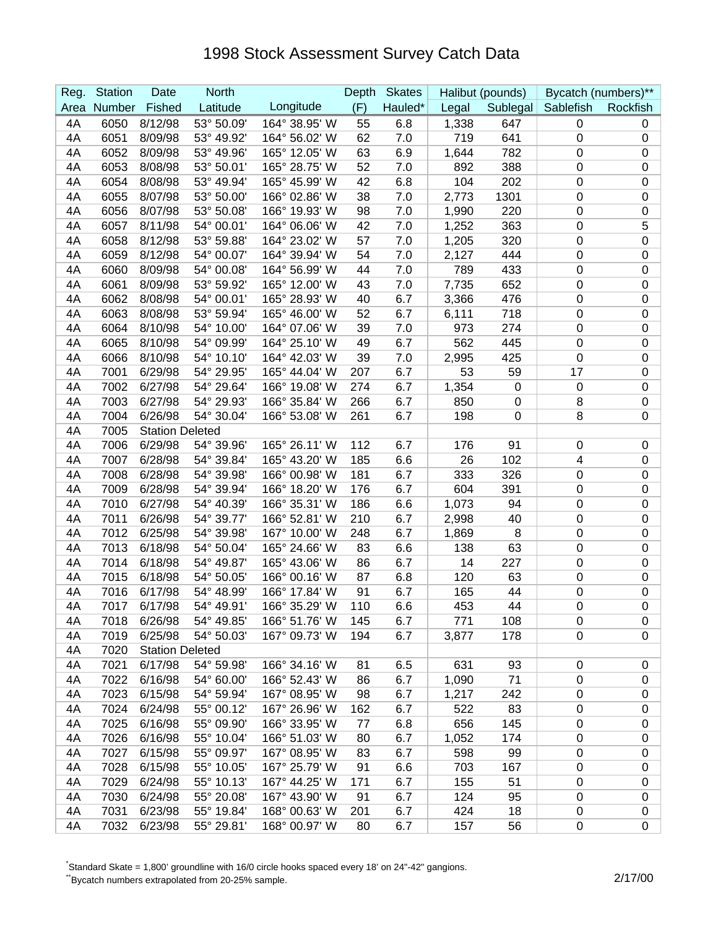## 1998 Stock Assessment Survey Catch Data

| Reg. | <b>Station</b> | Date                   | <b>North</b> |               | Depth | <b>Skates</b> |       | Halibut (pounds) | Bycatch (numbers)** |                  |
|------|----------------|------------------------|--------------|---------------|-------|---------------|-------|------------------|---------------------|------------------|
| Area | Number         | Fished                 | Latitude     | Longitude     | (F)   | Hauled*       | Legal |                  | Sublegal Sablefish  | Rockfish         |
| 4A   | 6050           | 8/12/98                | 53° 50.09'   | 164° 38.95' W | 55    | 6.8           | 1,338 | 647              | $\mathbf 0$         | 0                |
| 4A   | 6051           | 8/09/98                | 53° 49.92'   | 164° 56.02' W | 62    | 7.0           | 719   | 641              | $\boldsymbol{0}$    | 0                |
| 4A   | 6052           | 8/09/98                | 53° 49.96'   | 165° 12.05' W | 63    | 6.9           | 1,644 | 782              | $\pmb{0}$           | $\pmb{0}$        |
| 4A   | 6053           | 8/08/98                | 53° 50.01'   | 165° 28.75' W | 52    | 7.0           | 892   | 388              | $\boldsymbol{0}$    | $\pmb{0}$        |
| 4A   | 6054           | 8/08/98                | 53° 49.94'   | 165° 45.99' W | 42    | 6.8           | 104   | 202              | $\pmb{0}$           | $\pmb{0}$        |
| 4A   | 6055           | 8/07/98                | 53° 50.00'   | 166° 02.86' W | 38    | 7.0           | 2,773 | 1301             | $\pmb{0}$           | $\pmb{0}$        |
| 4A   | 6056           | 8/07/98                | 53° 50.08'   | 166° 19.93' W | 98    | 7.0           | 1,990 | 220              | 0                   | $\boldsymbol{0}$ |
| 4A   | 6057           | 8/11/98                | 54° 00.01'   | 164° 06.06' W | 42    | 7.0           | 1,252 | 363              | $\pmb{0}$           | 5                |
| 4A   | 6058           | 8/12/98                | 53° 59.88'   | 164° 23.02' W | 57    | 7.0           | 1,205 | 320              | $\pmb{0}$           | $\boldsymbol{0}$ |
| 4A   | 6059           | 8/12/98                | 54° 00.07'   | 164° 39.94' W | 54    | 7.0           | 2,127 | 444              | $\boldsymbol{0}$    | $\pmb{0}$        |
| 4A   | 6060           | 8/09/98                | 54° 00.08'   | 164° 56.99' W | 44    | 7.0           | 789   | 433              | $\boldsymbol{0}$    | $\pmb{0}$        |
| 4A   | 6061           | 8/09/98                | 53° 59.92'   | 165° 12.00' W | 43    | 7.0           | 7,735 | 652              | $\boldsymbol{0}$    | $\pmb{0}$        |
| 4A   | 6062           | 8/08/98                | 54° 00.01'   | 165° 28.93' W | 40    | 6.7           | 3,366 | 476              | $\mathbf 0$         | $\pmb{0}$        |
| 4A   | 6063           | 8/08/98                | 53° 59.94'   | 165° 46.00' W | 52    | 6.7           | 6,111 | 718              | $\mathbf 0$         | 0                |
| 4A   | 6064           | 8/10/98                | 54° 10.00'   | 164° 07.06' W | 39    | 7.0           | 973   | 274              | $\pmb{0}$           | $\pmb{0}$        |
| 4A   | 6065           | 8/10/98                | 54° 09.99'   | 164° 25.10' W | 49    | 6.7           | 562   | 445              | $\mathbf 0$         | $\pmb{0}$        |
| 4A   | 6066           | 8/10/98                | 54° 10.10'   | 164° 42.03' W | 39    | 7.0           | 2,995 | 425              | $\mathbf 0$         | $\pmb{0}$        |
| 4A   | 7001           | 6/29/98                | 54° 29.95'   | 165° 44.04' W | 207   | 6.7           | 53    | 59               | 17                  | $\pmb{0}$        |
| 4A   | 7002           | 6/27/98                | 54° 29.64'   | 166° 19.08' W | 274   | 6.7           | 1,354 | $\mathbf 0$      | $\pmb{0}$           | $\pmb{0}$        |
| 4A   | 7003           | 6/27/98                | 54° 29.93'   | 166° 35.84' W | 266   | 6.7           | 850   | $\boldsymbol{0}$ | 8                   | $\pmb{0}$        |
| 4A   | 7004           | 6/26/98                | 54° 30.04'   | 166° 53.08' W | 261   | 6.7           | 198   | 0                | 8                   | 0                |
| 4A   | 7005           | <b>Station Deleted</b> |              |               |       |               |       |                  |                     |                  |
| 4A   | 7006           | 6/29/98                | 54° 39.96'   | 165° 26.11' W | 112   | 6.7           | 176   | 91               | $\mathbf 0$         | $\pmb{0}$        |
| 4A   | 7007           | 6/28/98                | 54° 39.84'   | 165° 43.20' W | 185   | 6.6           | 26    | 102              | 4                   | $\pmb{0}$        |
| 4A   | 7008           | 6/28/98                | 54° 39.98'   | 166° 00.98' W | 181   | 6.7           | 333   | 326              | $\mathbf 0$         | $\pmb{0}$        |
| 4A   | 7009           | 6/28/98                | 54° 39.94'   | 166° 18.20' W | 176   | 6.7           | 604   | 391              | 0                   | $\boldsymbol{0}$ |
| 4A   | 7010           | 6/27/98                | 54° 40.39'   | 166° 35.31' W | 186   | 6.6           | 1,073 | 94               | $\mathbf 0$         | 0                |
| 4A   | 7011           | 6/26/98                | 54° 39.77'   | 166° 52.81' W | 210   | 6.7           | 2,998 | 40               | $\pmb{0}$           | $\pmb{0}$        |
| 4A   | 7012           | 6/25/98                | 54° 39.98'   | 167° 10.00' W | 248   | 6.7           | 1,869 | 8                | $\pmb{0}$           | $\pmb{0}$        |
| 4A   | 7013           | 6/18/98                | 54° 50.04'   | 165° 24.66' W | 83    | 6.6           | 138   | 63               | $\boldsymbol{0}$    | $\pmb{0}$        |
| 4A   | 7014           | 6/18/98                | 54° 49.87'   | 165° 43.06' W | 86    | 6.7           | 14    | 227              | $\pmb{0}$           | $\pmb{0}$        |
| 4A   | 7015           | 6/18/98                | 54° 50.05'   | 166° 00.16' W | 87    | 6.8           | 120   | 63               | 0                   | $\mathbf 0$      |
| 4A   | 7016           | 6/17/98                | 54° 48.99'   | 166° 17.84' W | 91    | 6.7           | 165   | 44               | 0                   | $\pmb{0}$        |
| 4A   | 7017           | 6/17/98                | 54° 49.91'   | 166° 35.29' W | 110   | 6.6           | 453   | 44               | $\mathbf 0$         | $\mathbf 0$      |
| 4A   | 7018           | 6/26/98                | 54° 49.85'   | 166° 51.76' W | 145   | 6.7           | 771   | 108              | 0                   | 0                |
| 4A   | 7019           | 6/25/98                | 54° 50.03'   | 167° 09.73' W | 194   | 6.7           | 3,877 | 178              | $\pmb{0}$           | 0                |
| 4A   | 7020           | <b>Station Deleted</b> |              |               |       |               |       |                  |                     |                  |
| 4A   | 7021           | 6/17/98                | 54° 59.98'   | 166° 34.16' W | 81    | 6.5           | 631   | 93               | $\mathbf 0$         | $\pmb{0}$        |
| 4A   | 7022           | 6/16/98                | 54° 60.00'   | 166° 52.43' W | 86    | 6.7           | 1,090 | 71               | 0                   | $\pmb{0}$        |
| 4A   | 7023           | 6/15/98                | 54° 59.94'   | 167° 08.95' W | 98    | 6.7           | 1,217 | 242              | 0                   | $\pmb{0}$        |
| 4A   | 7024           | 6/24/98                | 55° 00.12'   | 167° 26.96' W | 162   | 6.7           | 522   | 83               | $\boldsymbol{0}$    | $\pmb{0}$        |
| 4A   | 7025           | 6/16/98                | 55° 09.90'   | 166° 33.95' W | 77    | 6.8           | 656   | 145              | 0                   | 0                |
| 4A   | 7026           | 6/16/98                | 55° 10.04'   | 166° 51.03' W | 80    | 6.7           | 1,052 | 174              | $\pmb{0}$           | $\pmb{0}$        |
| 4A   | 7027           | 6/15/98                | 55° 09.97'   | 167° 08.95' W | 83    | 6.7           | 598   | 99               | $\pmb{0}$           | $\pmb{0}$        |
| 4A   | 7028           | 6/15/98                | 55° 10.05'   | 167° 25.79' W | 91    | 6.6           | 703   | 167              | $\pmb{0}$           | $\pmb{0}$        |
| 4A   | 7029           | 6/24/98                | 55° 10.13'   | 167° 44.25' W | 171   | 6.7           | 155   | 51               | 0                   | 0                |
| 4A   | 7030           | 6/24/98                | 55° 20.08'   | 167° 43.90' W | 91    | 6.7           | 124   | 95               | 0                   | $\pmb{0}$        |
| 4A   | 7031           | 6/23/98                | 55° 19.84'   | 168° 00.63' W | 201   | 6.7           | 424   | 18               | 0                   | 0                |
| 4A   | 7032           | 6/23/98                | 55° 29.81'   | 168° 00.97' W | 80    | 6.7           | 157   | 56               | 0                   | $\mathbf 0$      |

\* Standard Skate = 1,800' groundline with 16/0 circle hooks spaced every 18' on 24"-42" gangions.

\*Bycatch numbers extrapolated from 20-25% sample. 2/17/00